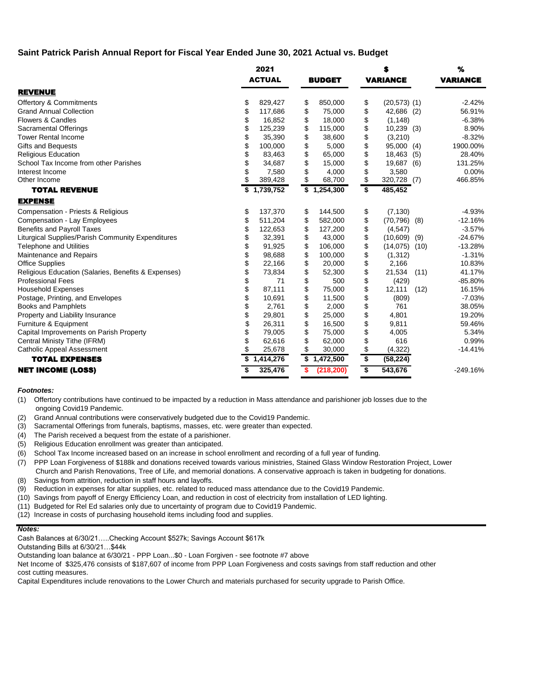# **Saint Patrick Parish Annual Report for Fiscal Year Ended June 30, 2021 Actual vs. Budget**

|                                                     | 2021 |               |    |               |                                      |                   | %    |                 |
|-----------------------------------------------------|------|---------------|----|---------------|--------------------------------------|-------------------|------|-----------------|
|                                                     |      | <b>ACTUAL</b> |    | <b>BUDGET</b> |                                      | <b>VARIANCE</b>   |      | <b>VARIANCE</b> |
| <b>REVENUE</b>                                      |      |               |    |               |                                      |                   |      |                 |
| <b>Offertory &amp; Commitments</b>                  | \$   | 829,427       | \$ | 850,000       | \$                                   | $(20,573)$ $(1)$  |      | $-2.42%$        |
| <b>Grand Annual Collection</b>                      | \$   | 117,686       | \$ | 75,000        | \$                                   | 42,686 (2)        |      | 56.91%          |
| Flowers & Candles                                   | \$   | 16,852        | \$ | 18,000        | \$                                   | (1, 148)          |      | $-6.38%$        |
| Sacramental Offerings                               | \$   | 125,239       | \$ | 115,000       | \$                                   | $10,239$ (3)      |      | 8.90%           |
| <b>Tower Rental Income</b>                          | \$   | 35,390        | \$ | 38,600        | \$                                   | (3,210)           |      | $-8.32%$        |
| <b>Gifts and Bequests</b>                           | \$   | 100,000       | \$ | 5,000         | \$                                   | 95,000 (4)        |      | 1900.00%        |
| <b>Religious Education</b>                          | \$   | 83,463        | \$ | 65,000        | \$                                   | 18,463 (5)        |      | 28.40%          |
| School Tax Income from other Parishes               | \$   | 34,687        | \$ | 15,000        | \$                                   | 19,687 (6)        |      | 131.25%         |
| Interest Income                                     | \$   | 7,580         | \$ | 4,000         | \$                                   | 3,580             |      | 0.00%           |
| Other Income                                        | \$   | 389,428       | \$ | 68,700        | \$                                   | 320,728 (7)       |      | 466.85%         |
| <b>TOTAL REVENUE</b>                                |      | \$1,739,752   | \$ | 1,254,300     | \$                                   | 485,452           |      |                 |
| <b>EXPENSE</b>                                      |      |               |    |               |                                      |                   |      |                 |
| Compensation - Priests & Religious                  | \$   | 137,370       | \$ | 144,500       | \$                                   | (7, 130)          |      | $-4.93%$        |
| Compensation - Lay Employees                        | \$   | 511,204       | \$ | 582,000       | \$                                   | $(70, 796)$ $(8)$ |      | $-12.16%$       |
| <b>Benefits and Payroll Taxes</b>                   | \$   | 122,653       | \$ | 127,200       | \$                                   | (4, 547)          |      | $-3.57%$        |
| Liturgical Supplies/Parish Community Expenditures   | \$   | 32,391        | \$ | 43,000        | \$                                   | (10,609)          | (9)  | $-24.67%$       |
| <b>Telephone and Utilities</b>                      | \$   | 91,925        | \$ | 106,000       | \$                                   | (14,075)          | (10) | $-13.28%$       |
| Maintenance and Repairs                             | \$   | 98,688        | \$ | 100,000       | \$                                   | (1, 312)          |      | $-1.31%$        |
| <b>Office Supplies</b>                              | \$   | 22,166        | \$ | 20,000        | \$                                   | 2,166             |      | 10.83%          |
| Religious Education (Salaries, Benefits & Expenses) | \$   | 73,834        | \$ | 52,300        | \$                                   | 21,534            | (11) | 41.17%          |
| <b>Professional Fees</b>                            | \$   | 71            | \$ | 500           | \$                                   | (429)             |      | $-85.80%$       |
| <b>Household Expenses</b>                           | \$   | 87,111        | \$ | 75,000        | \$                                   | 12,111            | (12) | 16.15%          |
| Postage, Printing, and Envelopes                    | \$   | 10,691        | \$ | 11,500        | \$                                   | (809)             |      | $-7.03%$        |
| <b>Books and Pamphlets</b>                          | \$   | 2,761         | \$ | 2,000         | \$                                   | 761               |      | 38.05%          |
| Property and Liability Insurance                    | \$   | 29,801        | \$ | 25,000        | \$                                   | 4,801             |      | 19.20%          |
| Furniture & Equipment                               | \$   | 26,311        | \$ | 16,500        | \$                                   | 9,811             |      | 59.46%          |
| Capital Improvements on Parish Property             | \$   | 79,005        | \$ | 75,000        | \$                                   | 4,005             |      | 5.34%           |
| Central Ministy Tithe (IFRM)                        | \$   | 62,616        | \$ | 62,000        | \$                                   | 616               |      | 0.99%           |
| <b>Catholic Appeal Assessment</b>                   | \$   | 25,678        | \$ | 30,000        | \$                                   | (4,322)           |      | $-14.41%$       |
| <b>TOTAL EXPENSES</b>                               | \$   | 1,414,276     | \$ | 1,472,500     | $\overline{\boldsymbol{\mathsf{s}}}$ | (58, 224)         |      |                 |
| <b>NET INCOME (LOSS)</b>                            | \$   | 325,476       | \$ | (218, 200)    | $\overline{\mathbf{s}}$              | 543,676           |      | $-249.16%$      |

### *Footnotes:*

(1) Offertory contributions have continued to be impacted by a reduction in Mass attendance and parishioner job losses due to the ongoing Covid19 Pandemic.

(2) Grand Annual contributions were conservatively budgeted due to the Covid19 Pandemic.

(3) Sacramental Offerings from funerals, baptisms, masses, etc. were greater than expected.

(4) The Parish received a bequest from the estate of a parishioner.

(5) Religious Education enrollment was greater than anticipated.

(6) School Tax Income increased based on an increase in school enrollment and recording of a full year of funding.

(7) PPP Loan Forgiveness of \$188k and donations received towards various ministries, Stained Glass Window Restoration Project, Lower Church and Parish Renovations, Tree of Life, and memorial donations. A conservative approach is taken in budgeting for donations.

(8) Savings from attrition, reduction in staff hours and layoffs.

(9) Reduction in expenses for altar supplies, etc. related to reduced mass attendance due to the Covid19 Pandemic.

(10) Savings from payoff of Energy Efficiency Loan, and reduction in cost of electricity from installation of LED lighting.

- (11) Budgeted for Rel Ed salaries only due to uncertainty of program due to Covid19 Pandemic.
- (12) Increase in costs of purchasing household items including food and supplies.

#### *Notes:*

Cash Balances at 6/30/21…..Checking Account \$527k; Savings Account \$617k

Outstanding Bills at 6/30/21…\$44k

Outstanding loan balance at 6/30/21 - PPP Loan...\$0 - Loan Forgiven - see footnote #7 above

Net Income of \$325,476 consists of \$187,607 of income from PPP Loan Forgiveness and costs savings from staff reduction and other cost cutting measures.

Capital Expenditures include renovations to the Lower Church and materials purchased for security upgrade to Parish Office.